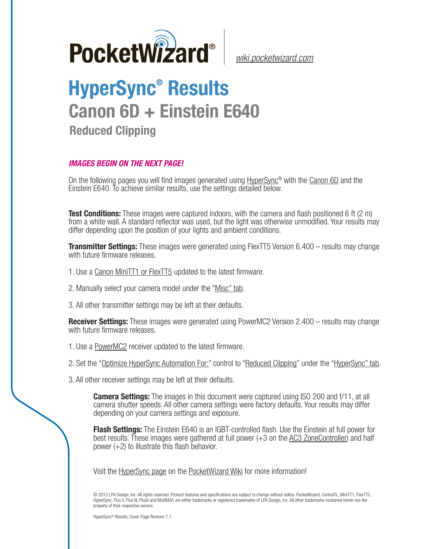

*[wiki.pocketwizard.com](http://wiki.pocketwizard.com/)*

## **HyperSync® Results Canon 6D + Einstein E640**

**Reduced Clipping**

## *IMAGES BEGIN ON THE NEXT PAGE!*

On the following pages you will find images generated using [HyperSync](http://wiki.pocketwizard.com/index.php?title=Hypersync)® with the [Canon 6D](http://wiki.pocketwizard.com/index.php?title=Canon_6D) and the Einstein E640. To achieve similar results, use the settings detailed below.

**Test Conditions:** These images were captured indoors, with the camera and flash positioned 6 ft (2 m) from a white wall. A standard reflector was used, but the light was otherwise unmodified. Your results may differ depending upon the position of your lights and ambient conditions.

**Transmitter Settings:** These images were generated using FlexTT5 Version 6.400 – results may change with future firmware releases.

- 1. Use a [Canon MiniTT1 or FlexTT5](http://wiki.pocketwizard.com/index.php?title=Canon_MiniTT1_and_FlexTT5) updated to the latest firmware.
- 2. Manually select your camera model under the "[Misc" tab](http://wiki.pocketwizard.com/index.php?title=Misc_Tab).
- 3. All other transmitter settings may be left at their defaults.

**Receiver Settings:** These images were generated using PowerMC2 Version 2.400 – results may change with future firmware releases.

- 1. Use a [PowerMC2](http://wiki.pocketwizard.com/index.php?title=PowerMC2) receiver updated to the latest firmware.
- 2. Set the "[Optimize HyperSync Automation For:](http://wiki.pocketwizard.com/index.php?title=HyperSync/HSS_Tab#Optimize_HyperSync_Automation_For:)" control to ["Reduced Clipping"](http://wiki.pocketwizard.com/index.php?title=HyperSync/HSS_Tab#Optimize_HyperSync_Automation_For:) under the "[HyperSync" tab](http://wiki.pocketwizard.com/index.php?title=Hypersync_tab).
- 3. All other receiver settings may be left at their defaults.

**Camera Settings:** The images in this document were captured using ISO 200 and f/11, at all camera shutter speeds. All other camera settings were factory defaults. Your results may differ depending on your camera settings and exposure.

**Flash Settings:** The Einstein E640 is an IGBT-controlled flash. Use the Einstein at full power for best results. These images were gathered at full power (+3 on the [AC3 ZoneController\)](http://wiki.pocketwizard.com/index.php?title=AC3_ZoneController) and half power  $(+2)$  to illustrate this flash behavior.

Visit the [HyperSync page](http://wiki.pocketwizard.com/index.php?title=Hypersync) on the [PocketWizard Wiki](http://wiki.pocketwizard.com/) for more information!

© 2013 LPA Design, Inc. All rights reserved. Product features and specifications are subject to change without notice. PocketWizard, ControlTL, MiniTT1, FlexTT5, HyperSync, Plus II, Plus III, PlusX and MultiMAX are either trademarks or registered trademarks of LPA Design, Inc. All other trademarks contained herein are the property of their respective owners.

HyperSync® Results, Cover Page Revision 1.1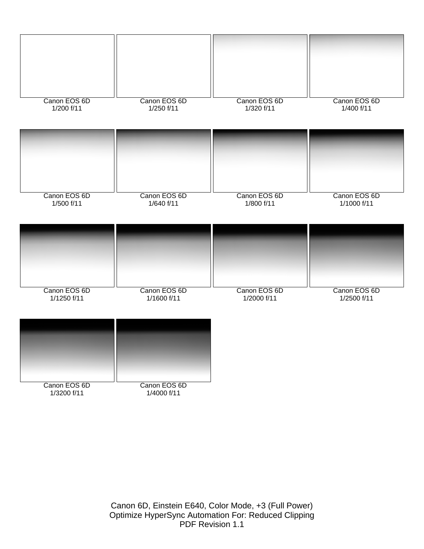